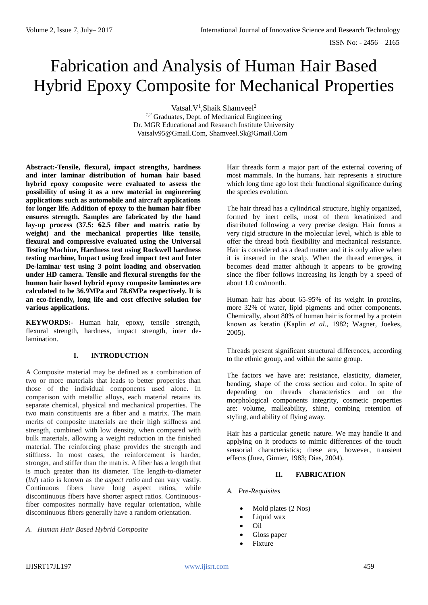# Fabrication and Analysis of Human Hair Based Hybrid Epoxy Composite for Mechanical Properties

Vatsal.V<sup>1</sup>, Shaik Shamveel<sup>2</sup>

*1,2* Graduates, Dept. of Mechanical Engineering Dr. MGR Educational and Research Institute University [Vatsalv95@Gmail.Com,](mailto:vatsalv95@gmail.com) [Shamveel.Sk@Gmail.Com](mailto:shamveel.sk@gmail.com)

**Abstract:-Tensile, flexural, impact strengths, hardness and inter laminar distribution of human hair based hybrid epoxy composite were evaluated to assess the possibility of using it as a new material in engineering applications such as automobile and aircraft applications for longer life. Addition of epoxy to the human hair fiber ensures strength. Samples are fabricated by the hand lay-up process (37.5: 62.5 fiber and matrix ratio by weight) and the mechanical properties like tensile, flexural and compressive evaluated using the Universal Testing Machine, Hardness test using Rockwell hardness testing machine, Impact using Izod impact test and Inter De-laminar test using 3 point loading and observation under HD camera. Tensile and flexural strengths for the human hair based hybrid epoxy composite laminates are calculated to be 36.9MPa and 78.6MPa respectively. It is an eco-friendly, long life and cost effective solution for various applications.**

**KEYWORDS:-** Human hair, epoxy, tensile strength, flexural strength, hardness, impact strength, inter delamination.

## **I. INTRODUCTION**

A Composite material may be defined as a combination of two or more materials that leads to better properties than those of the individual components used alone. In comparison with metallic alloys, each material retains its separate chemical, physical and mechanical properties. The two main constituents are a fiber and a matrix. The main merits of composite materials are their high stiffness and strength, combined with low density, when compared with bulk materials, allowing a weight reduction in the finished material. The reinforcing phase provides the strength and stiffness. In most cases, the reinforcement is harder, stronger, and stiffer than the matrix. A fiber has a length that is much greater than its diameter. The length-to-diameter (*l*/*d*) ratio is known as the *aspect ratio* and can vary vastly. Continuous fibers have long aspect ratios, while discontinuous fibers have shorter aspect ratios. Continuousfiber composites normally have regular orientation, while discontinuous fibers generally have a random orientation.

## *A. Human Hair Based Hybrid Composite*

Hair threads form a major part of the external covering of most mammals. In the humans, hair represents a structure which long time ago lost their functional significance during the species evolution.

The hair thread has a cylindrical structure, highly organized, formed by inert cells, most of them keratinized and distributed following a very precise design. Hair forms a very rigid structure in the molecular level, which is able to offer the thread both flexibility and mechanical resistance. Hair is considered as a dead matter and it is only alive when it is inserted in the scalp. When the thread emerges, it becomes dead matter although it appears to be growing since the fiber follows increasing its length by a speed of about 1.0 cm/month.

Human hair has about 65-95% of its weight in proteins, more 32% of water, lipid pigments and other components. Chemically, about 80% of human hair is formed by a protein known as keratin (Kaplin *et al*., 1982; Wagner, Joekes, 2005).

Threads present significant structural differences, according to the ethnic group, and within the same group.

The factors we have are: resistance, elasticity, diameter, bending, shape of the cross section and color. In spite of depending on threads characteristics and on the morphological components integrity, cosmetic properties are: volume, malleability, shine, combing retention of styling, and ability of flying away.

Hair has a particular genetic nature. We may handle it and applying on it products to mimic differences of the touch sensorial characteristics; these are, however, transient effects (Juez, Gimier, 1983; Dias, 2004).

## **II. FABRICATION**

# *A. Pre-Requisites*

- Mold plates (2 Nos)
- Liquid wax
- Oil
- Gloss paper
- **Fixture**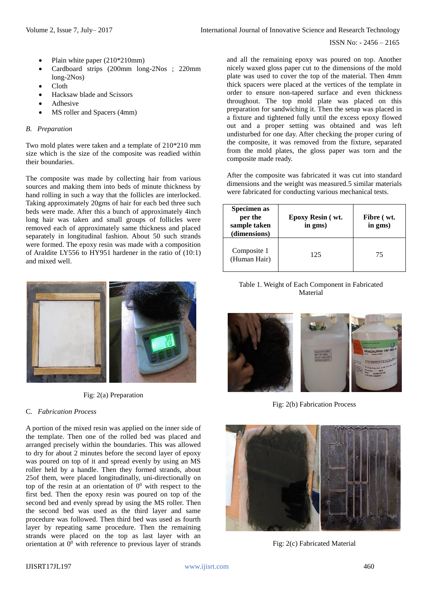ISSN No: - 2456 – 2165

- Plain white paper (210\*210mm)
- Cardboard strips (200mm long-2Nos ; 220mm long-2Nos)
- Cloth
- Hacksaw blade and Scissors
- Adhesive
- MS roller and Spacers (4mm)

#### *B. Preparation*

Two mold plates were taken and a template of 210\*210 mm size which is the size of the composite was readied within their boundaries.

The composite was made by collecting hair from various sources and making them into beds of minute thickness by hand rolling in such a way that the follicles are interlocked. Taking approximately 20gms of hair for each bed three such beds were made. After this a bunch of approximately 4inch long hair was taken and small groups of follicles were removed each of approximately same thickness and placed separately in longitudinal fashion. About 50 such strands were formed. The epoxy resin was made with a composition of Araldite LY556 to HY951 hardener in the ratio of (10:1) and mixed well.



Fig: 2(a) Preparation

## C. *Fabrication Process*

A portion of the mixed resin was applied on the inner side of the template. Then one of the rolled bed was placed and arranged precisely within the boundaries. This was allowed to dry for about 2 minutes before the second layer of epoxy was poured on top of it and spread evenly by using an MS roller held by a handle. Then they formed strands, about 25of them, were placed longitudinally, uni-directionally on top of the resin at an orientation of  $0<sup>0</sup>$  with respect to the first bed. Then the epoxy resin was poured on top of the second bed and evenly spread by using the MS roller. Then the second bed was used as the third layer and same procedure was followed. Then third bed was used as fourth layer by repeating same procedure. Then the remaining strands were placed on the top as last layer with an orientation at  $0<sup>0</sup>$  with reference to previous layer of strands

and all the remaining epoxy was poured on top. Another nicely waxed gloss paper cut to the dimensions of the mold plate was used to cover the top of the material. Then 4mm thick spacers were placed at the vertices of the template in order to ensure non-tapered surface and even thickness throughout. The top mold plate was placed on this preparation for sandwiching it. Then the setup was placed in a fixture and tightened fully until the excess epoxy flowed out and a proper setting was obtained and was left undisturbed for one day. After checking the proper curing of the composite, it was removed from the fixture, separated from the mold plates, the gloss paper was torn and the composite made ready.

After the composite was fabricated it was cut into standard dimensions and the weight was measured.5 similar materials were fabricated for conducting various mechanical tests.

| Specimen as<br>per the<br>sample taken<br>(dimensions) | <b>Epoxy Resin (wt.</b><br>in gms) | Fibre (wt.<br>in gms) |
|--------------------------------------------------------|------------------------------------|-----------------------|
| Composite 1<br>(Human Hair)                            | 125                                | 75                    |

Table 1. Weight of Each Component in Fabricated Material



Fig: 2(b) Fabrication Process



Fig: 2(c) Fabricated Material

#### IJISRT17JL197 www.ijisrt.com 460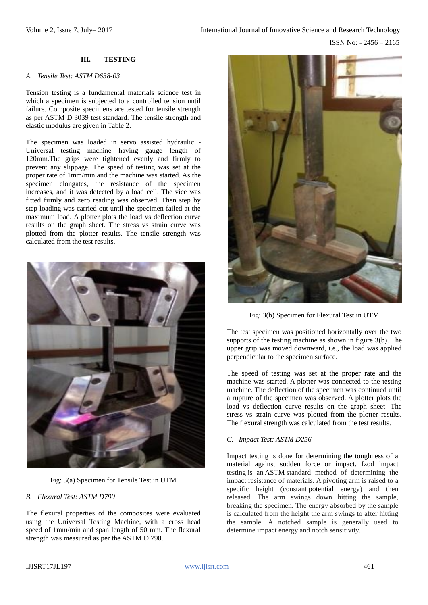# **III. TESTING**

#### *A. Tensile Test: ASTM D638-03*

Tension testing is a fundamental materials science test in which a specimen is subjected to a controlled tension until failure. Composite specimens are tested for tensile strength as per ASTM D 3039 test standard. The tensile strength and elastic modulus are given in Table 2.

The specimen was loaded in servo assisted hydraulic - Universal testing machine having gauge length of 120mm.The grips were tightened evenly and firmly to prevent any slippage. The speed of testing was set at the proper rate of 1mm/min and the machine was started. As the specimen elongates, the resistance of the specimen increases, and it was detected by a load cell. The vice was fitted firmly and zero reading was observed. Then step by step loading was carried out until the specimen failed at the maximum load. A plotter plots the load vs deflection curve results on the graph sheet. The stress vs strain curve was plotted from the plotter results. The tensile strength was calculated from the test results.



Fig: 3(a) Specimen for Tensile Test in UTM

#### *B. Flexural Test: ASTM D790*

The flexural properties of the composites were evaluated using the Universal Testing Machine, with a cross head speed of 1mm/min and span length of 50 mm. The flexural strength was measured as per the ASTM D 790.



Fig: 3(b) Specimen for Flexural Test in UTM

The test specimen was positioned horizontally over the two supports of the testing machine as shown in figure 3(b). The upper grip was moved downward, i.e., the load was applied perpendicular to the specimen surface.

The speed of testing was set at the proper rate and the machine was started. A plotter was connected to the testing machine. The deflection of the specimen was continued until a rupture of the specimen was observed. A plotter plots the load vs deflection curve results on the graph sheet. The stress vs strain curve was plotted from the plotter results. The flexural strength was calculated from the test results.

#### *C. Impact Test: ASTM D256*

Impact testing is done for determining the toughness of a material against sudden force or impact. Izod impact testing is an [ASTM](https://en.wikipedia.org/wiki/ASTM) standard method of determining the impact resistance of materials. A pivoting arm is raised to a specific height (constant [potential energy\)](https://en.wikipedia.org/wiki/Potential_energy) and then released. The arm swings down hitting the sample, breaking the specimen. The energy absorbed by the sample is calculated from the height the arm swings to after hitting the sample. A notched sample is generally used to determine impact energy and notch sensitivity.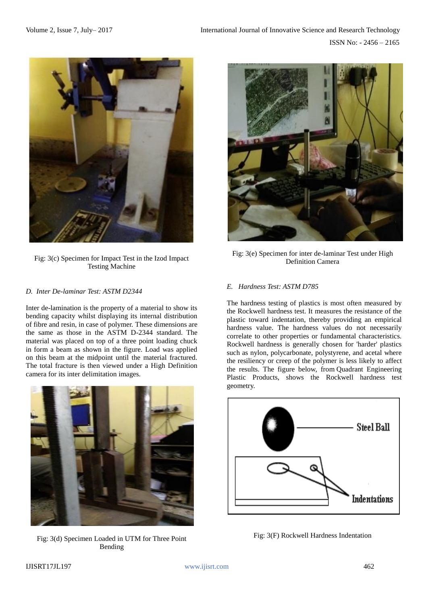

Fig: 3(c) Specimen for Impact Test in the Izod Impact Testing Machine

#### *D. Inter De-laminar Test: ASTM D2344*

Inter de-lamination is the property of a material to show its bending capacity whilst displaying its internal distribution of fibre and resin, in case of polymer. These dimensions are the same as those in the ASTM D-2344 standard. The material was placed on top of a three point loading chuck in form a beam as shown in the figure. Load was applied on this beam at the midpoint until the material fractured. The total fracture is then viewed under a High Definition camera for its inter delimitation images.



Fig: 3(d) Specimen Loaded in UTM for Three Point Bending



Fig: 3(e) Specimen for inter de-laminar Test under High Definition Camera

## *E.**Hardness Test: ASTM D785*

The hardness testing of plastics is most often measured by the Rockwell hardness test. It measures the resistance of the plastic toward indentation, thereby providing an empirical hardness value. The hardness values do not necessarily correlate to other properties or fundamental characteristics. Rockwell hardness is generally chosen for 'harder' plastics such as nylon, polycarbonate, polystyrene, and acetal where the resiliency or creep of the polymer is less likely to affect the results. The figure below, from Quadrant Engineering Plastic Products, shows the Rockwell hardness test geometry.



Fig: 3(F) Rockwell Hardness Indentation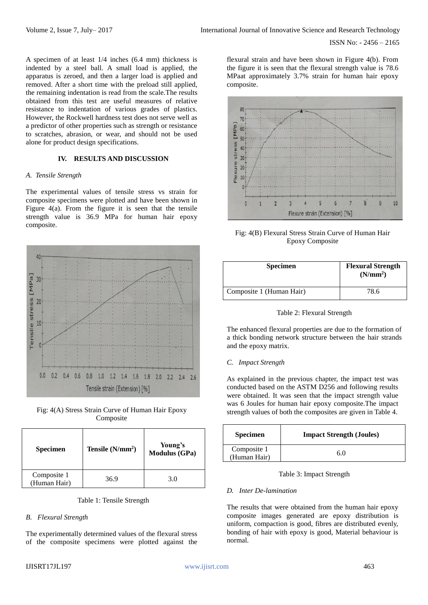ISSN No: - 2456 – 2165

A specimen of at least 1/4 inches (6.4 mm) thickness is indented by a steel ball. A small load is applied, the apparatus is zeroed, and then a larger load is applied and removed. After a short time with the preload still applied, the remaining indentation is read from the scale.The results obtained from this test are useful measures of relative resistance to indentation of various grades of plastics. However, the Rockwell hardness test does not serve well as a predictor of other properties such as strength or resistance to scratches, abrasion, or wear, and should not be used alone for product design specifications.

## **IV. RESULTS AND DISCUSSION**

#### *A. Tensile Strength*

The experimental values of tensile stress vs strain for composite specimens were plotted and have been shown in Figure  $4(a)$ . From the figure it is seen that the tensile strength value is 36.9 MPa for human hair epoxy composite.



Fig: 4(A) Stress Strain Curve of Human Hair Epoxy Composite

| <b>Specimen</b>             | Tensile $(N/mm^2)$ | Young's<br><b>Modulus (GPa)</b> |
|-----------------------------|--------------------|---------------------------------|
| Composite 1<br>(Human Hair) | 36.9               | 3.0                             |

Table 1: Tensile Strength

# *B. Flexural Strength*

The experimentally determined values of the flexural stress of the composite specimens were plotted against the flexural strain and have been shown in Figure 4(b). From the figure it is seen that the flexural strength value is 78.6 MPaat approximately 3.7% strain for human hair epoxy composite.



Fig: 4(B) Flexural Stress Strain Curve of Human Hair Epoxy Composite

| <b>Specimen</b>          | <b>Flexural Strength</b><br>(N/mm <sup>2</sup> ) |
|--------------------------|--------------------------------------------------|
| Composite 1 (Human Hair) | 78.6                                             |

Table 2: Flexural Strength

The enhanced flexural properties are due to the formation of a thick bonding network structure between the hair strands and the epoxy matrix.

# *C. Impact Strength*

As explained in the previous chapter, the impact test was conducted based on the ASTM D256 and following results were obtained. It was seen that the impact strength value was 6 Joules for human hair epoxy composite.The impact strength values of both the composites are given in Table 4.

| <b>Specimen</b>             | <b>Impact Strength (Joules)</b> |
|-----------------------------|---------------------------------|
| Composite 1<br>(Human Hair) | 60                              |

## Table 3: Impact Strength

# *D. Inter De-lamination*

The results that were obtained from the human hair epoxy composite images generated are epoxy distribution is uniform, compaction is good, fibres are distributed evenly, bonding of hair with epoxy is good, Material behaviour is normal.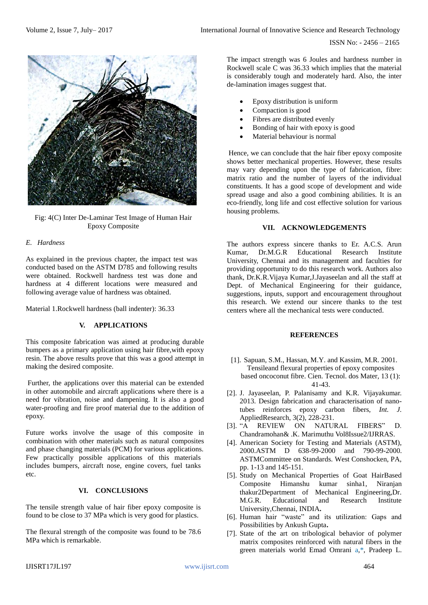ISSN No: - 2456 – 2165



Fig: 4(C) Inter De-Laminar Test Image of Human Hair Epoxy Composite

# *E. Hardness*

As explained in the previous chapter, the impact test was conducted based on the ASTM D785 and following results were obtained. Rockwell hardness test was done and hardness at 4 different locations were measured and following average value of hardness was obtained.

Material 1.Rockwell hardness (ball indenter): 36.33

# **V. APPLICATIONS**

This composite fabrication was aimed at producing durable bumpers as a primary application using hair fibre, with epoxy resin. The above results prove that this was a good attempt in making the desired composite.

Further, the applications over this material can be extended in other automobile and aircraft applications where there is a need for vibration, noise and dampening. It is also a good water-proofing and fire proof material due to the addition of epoxy.

Future works involve the usage of this composite in combination with other materials such as natural composites and phase changing materials (PCM) for various applications. Few practically possible applications of this materials includes bumpers, aircraft nose, engine covers, fuel tanks etc.

# **VI. CONCLUSIONS**

The tensile strength value of hair fiber epoxy composite is found to be close to 37 MPa which is very good for plastics.

The flexural strength of the composite was found to be 78.6 MPa which is remarkable.

The impact strength was 6 Joules and hardness number in Rockwell scale C was 36.33 which implies that the material is considerably tough and moderately hard. Also, the inter de-lamination images suggest that.

- Epoxy distribution is uniform
- Compaction is good
- Fibres are distributed evenly
- Bonding of hair with epoxy is good
- Material behaviour is normal

Hence, we can conclude that the hair fiber epoxy composite shows better mechanical properties. However, these results may vary depending upon the type of fabrication, fibre: matrix ratio and the number of layers of the individual constituents. It has a good scope of development and wide spread usage and also a good combining abilities. It is an eco-friendly, long life and cost effective solution for various housing problems.

## **VII. ACKNOWLEDGEMENTS**

The authors express sincere thanks to Er. A.C.S. Arun Kumar, Dr.M.G.R Educational Research Institute University, Chennai and its management and faculties for providing opportunity to do this research work. Authors also thank, Dr.K.R.Vijaya Kumar,J.Jayaseelan and all the staff at Dept. of Mechanical Engineering for their guidance, suggestions, inputs, support and encouragement throughout this research. We extend our sincere thanks to the test centers where all the mechanical tests were conducted.

## **REFERENCES**

- [1]. Sapuan, S.M., Hassan, M.Y. and Kassim, M.R. 2001. Tensileand flexural properties of epoxy composites based oncoconut fibre. Cien. Tecnol. dos Mater, 13 (1): 41-43.
- [2]. J. Jayaseelan, P. Palanisamy and K.R. Vijayakumar. 2013. Design fabrication and characterisation of nanotubes reinforces epoxy carbon fibers, *Int. J.*  AppliedResearch, 3(2), 228-231.
- [3]. "A REVIEW ON NATURAL FIBERS" D. Chandramohan& .K. Marimuthu Vol8Issue2/IJRRAS.
- [4]. American Society for Testing and Materials (ASTM), 2000.ASTM D 638-99-2000 and 790-99-2000. ASTMCommittee on Standards. West Conshocken, PA, pp. 1-13 and 145-151.
- [5]. Study on Mechanical Properties of Goat HairBased Composite Himanshu kumar sinha1, Niranjan thakur2Department of Mechanical Engineering,Dr. M.G.R. Educational and Research Institute University,Chennai, INDIA**.**
- [6]. Human hair "waste" and its utilization: Gaps and Possibilities by Ankush Gupta**.**
- [7]. State of the art on tribological behavior of polymer matrix composites reinforced with natural fibers in the green materials world Emad Omrani a,\*, Pradeep L.